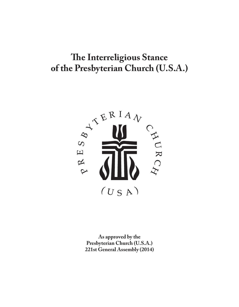# **The Interreligious Stance of the Presbyterian Church (U.S.A.)**



**As approved by the Presbyterian Church (U.S.A.) 221st General Assembly (2014)**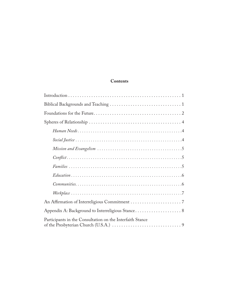# **Contents**

| Participants in the Consultation on the Interfaith Stance |
|-----------------------------------------------------------|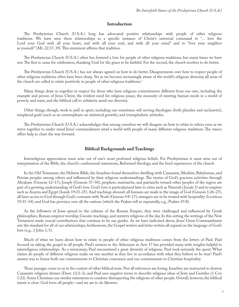### **Introduction**

The Presbyterian Church (U.S.A.) long has advocated positive relationships with people of other religious traditions. We have seen these relationships as a specific instance of Christ's universal command to "... love the Lord your God with all your heart, and with all your soul, and with all your mind" and to "love your neighbor as yourself" (Mt. 22:37, 39). This statement affirms that tradition.

The Presbyterian Church (U.S.A.) often has fostered a love for people of other religious traditions, but many times we have not. The first is cause for celebration, thanking God for the grace to be faithful. For the second, the church resolves to do better.

The Presbyterian Church (U.S.A.) has not always agreed on how to do better. Disagreements over how to respect people of other religious traditions often have been sharp. Yet as we become increasingly aware of the world's religious diversity, all areas of the church are called to relate positively to people of other religious traditions. 1

Many things draw us together in respect for those who have religious commitments different from our own, including the example and person of Jesus Christ, the evident need for religious peace, the necessity of meeting human needs in a world of poverty and want, and the biblical call to solidarity amid our diversity.

Other things, though, work to pull us apart, including our sometimes self serving theologies (both pluralist and exclusivist), misplaced goals (such as an overemphasis on statistical growth), and triumphalistic attitudes.

The Presbyterian Church (U.S.A.) acknowledges that among ourselves we will disagree on how to relate to others even as we strive together to under stand Jesus' commandment amid a world with people of many different religious traditions. The stance offers help to chart the way forward.

#### **Biblical Backgrounds and Teachings**

Interreligious appreciation must arise out of one's most profound religious beliefs. For Presbyterians it must arise out of interpretation of the Bible, the church's confessional statements, Reformed theology, and the lived experiences of the church.

In the Old Testament, the Hebrew Bible, the Israelites found themselves dwelling with Canaanite, Moabite, Babylonian, and Persian peoples among others and influenced by their religious understandings. The stories of God's gracious activities through Abraham (Genesis 12–17), Joseph (Genesis 37–50), prophets, matriarchs, and patriarchs toward other peoples of the region are part of a growing understanding of God's love. God's love is particularized later to cities such as Nineveh ( Jonah 3) and to empires such as Assyria and Egypt (Isaiah 19:23–25). And teachings abound: all humans are made in the image of God (Genesis 1:26–27), all have access to God through God's covenant with Noah (Genesis 9:8–17), strangers are to be treated with hospitality (Leviticus 19:33–34), and God has province over all the nations (which the Psalms tell us repeatedly, e.g., Psalms 47:8).

As the followers of Jesus spread to the cultures of the Roman Empire, they were challenged and influenced by Greek philosophies, Roman emperor worship, Gnostic teachings, and mystery religions of the day. In this setting the writings of the New Testament made crucial contributions that continue to be our guides. As we have indicated above, Jesus' Great Commandment sets the standard for all of our relationships; furthermore, the Gospel writers and letter writers all expand on the language of God's love (e.g., 1 John 3, 5).

Much of what we learn about how to relate to people of other religious traditions comes from the letters of Paul. Paul focused on taking the gospel to all people. Paul's sermon to the Athenians in Acts 17 has provided many with insights helpful to interreligious relationships. As a missionary, Paul encountered a great diversity of religions. Paul took seriously the quest: What claims do people of different religions make on one another as they live in accordance with what they believe to be true? Paul's answer was to honor both our commitments to Christian conscience and our commitments to Christian hospitality.

These passages come to us in the context of other biblical texts. Not all references are loving. Israelites are instructed to destroy Canaanite religious shrines (Deut. 12:2–3), and Paul uses negative terms to describe religious ideas of Jews and Gentiles (1 Cor. 1:22). Some Christians use similar statements to condone disrespecting the religions of other people. Overall, however, the biblical intent is clear: God loves all people—and we are to do likewise.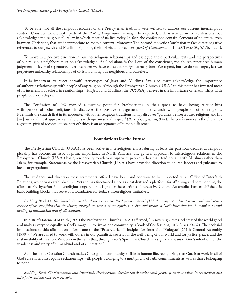#### The Interfaith Stance of the Presbyterian Church (U.S.A.)

To be sure, not all the religious resources of the Presbyterian tradition were written to address our current interreligious context. Consider, for example, parts of the *Book of Confessions.* As might be expected, little is written in the confessions that acknowledges the religious plurality in which most of us live today. In fact, the confessions contain elements of polemics, even between Christians, that are inappropriate to today's context. Moreover, The Second Helvetic Confession makes direct negative references to our Jewish and Muslim neighbors, their beliefs and practices (*Book of Confessions,* 5.014, 5.019–5.020, 5.176, 5.225).

To move in a positive direction in our interreligious relationships and dialogue, these particular texts and the perspectives of our religious neighbors must be acknowledged. As God alone is the Lord of the conscience, the church renounces human judgment in favor of repentance over the harm we have caused our religious neighbors. We repent, but we do not forget, lest we perpetuate unhealthy relationships of division among our neighbors and ourselves.

It is important to reject harmful stereotypes of Jews and Muslims. We also must acknowledge the importance of authentic relationships with people of any religion. Although the Presbyterian Church (U.S.A.) to this point has invested most of its interreligious efforts in relationships with Jews and Muslims, the PC(USA) believes in the importance of relationships with people of every religion.

The Confession of 1967 marked a turning point for Presbyterians in their quest to have loving relationships with people of other religions. It discusses the positive engagement of the church with people of other religions. It reminds the church that in its encounter with other religious traditions it may discover "parallels between other religions and his [sic] own and must approach all religions with openness and respect" (*Book of Confessions*, 9.42). The confession calls the church to a greater spirit of reconciliation, part of which is an acceptance of human difference.

## **Foundations for the Future**

The Presbyterian Church (U.S.A.) has been active in interreligious efforts during at least the past four decades as religious plurality has become an issue of prime importance in North America. The general approach to interreligious relations in the Presbyterian Church (U.S.A.) has given priority to relationships with people rather than traditions—with Muslims rather than Islam, for example. Statements by the Presbyterian Church (U.S.A.) have provided direction to church leaders and guidance to local congregations.

The guidance and direction these statements offered have been and continue to be supported by an Office of Interfaith Relations, which was established in 1988 and has functioned since as a catalyst and a platform for affirming and commending the efforts of Presbyterians in interreligious engagement. Together these actions of successive General Assemblies have established six basic building blocks that serve as a foundation for today's interreligious initiatives:

Building Block #1: The Church. In our pluralistic society, the Presbyterian Church (U.S.A.) recognizes that it must work with others because of the sure faith that the church, through the power of the Spirit, is a sign and means of God's intention for the wholeness and healing of humankind and of all creation.

In A Brief Statement of Faith (1991) the Presbyterian Church (U.S.A.) affirmed, "In sovereign love God created the world good and makes everyone equally in God's image . . . to live as one community" (Book of Confessions, 10.3, Lines 29-32). The ecclesial implications of this affirmation inform one of the "Presbyterian Principles for Interfaith Dialogue" (211th General Assembly [1999]): "We are called to work with others in our pluralistic society for the well-being of our world and for justice, peace, and the sustainability of creation. We do so in the faith that, through God's Spirit, the Church is a sign and means of God's intention for the wholeness and unity of humankind and of all creation."

At its best, the Christian Church makes God's gift of community visible in human life, recognizing that God is at work in all of God's creation. This requires relationships with people belonging to a multiplicity of faith commitments as well as those belonging to none.

*Building Block #2: Ecumenical and Interfaith. Presbyterians develop relationships with people of various faiths in ecumenical and interfaith contexts wherever possible.*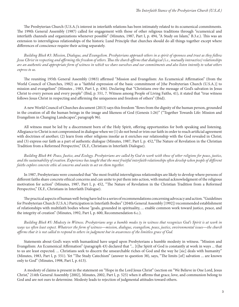The Presbyterian Church (U.S.A.)'s interest in interfaith relations has been intimately related to its ecumenical commitments. The 199th General Assembly (1987) called for engagement with those of other religious traditions through "ecumenical and interfaith channels and organizations whenever possible" (Minutes, 1987, Part I, p. 494, "A Study on Islam," B.3.e.). This was an extension to interreligious relationships of the historic Lund Principle that churches should do all things together except where differences of conscience require their acting separately.

*Building Block #3: Mission, Dialogue, and Evangelism. Presbyterians approach others in a spirit of openness and trust as they follow Jesus Christ in respecting and a#rming the freedom of others. !us the church a#rms that dialogical (i.e., mutually interactive) relationships are an authentic and appropriate form of witness in which we share ourselves and our commitments and also listen intently to what others express to us.*

The reuniting 195th General Assembly (1983) affirmed "Mission and Evangelism: An Ecumenical Affirmation" (from the World Council of Churches, 1982) as a "faithful expression of the basic commitment of [the Presbyterian Church (U.S.A.)] to mission and evangelism" (Minutes , 1983, Part I, p. 436). Declaring that "Christians owe the message of God's salvation in Jesus Christ to every person and every people" (Ibid, p. 551, 7. Witness among People of Living Faiths, 41), it stated that "true witness follows Jesus Christ in respecting and affirming the uniqueness and freedom of others" (Ibid).

A new World Council of Churches document (2013) says this freedom "flows from the dignity of the human person, grounded in the creation of all the human beings in the image and likeness of God (Genesis 1:26)" ("Together Towards Life: Mission and Evangelism in Changing Landscapes", paragraph 96).

All witness must be led by a discernment born of the Holy Spirit, offering opportunities for both speaking and listening. Allegiance to Christ is not compromised in dialogue when we  $(1)$  do not bend or trim our faith in order to reach artificial agreement with doctrines of another; (2) learn from other religions insofar as it enriches our relationship with the God revealed in Christ; and (3) express our faith as a part of authentic dialogue (Minutes, 1987, Part I, p. 452, "The Nature of Revelation in the Christian Tradition from a Reformed Perspective," IX.F., Christians in Interfaith Dialogue).

*Building Block #4: Peace, Justice, and Ecology. Presbyterians are called by God to work with those of other religions for peace, justice,*  and the sustainability of creation. Experience has taught that the most fruitful interfaith relationships often develop when people of different *faiths explore concrete ethic al concerns and unite to act on them together.*

In 1987, Presbyterians were counseled that "the most fruitful interreligious relationships are likely to develop where persons of different faiths share concrete ethical concerns and can unite to put them into action, with mutual acknowledgment of the religious motivation for action" (Minutes, 1987, Part I, p. 452, "The Nature of Revelation in the Christian Tradition from a Reformed Perspective," IX.F., Christians in Interfaith Dialogue).

The practical aspects of human well-being have led to a series of recommendations concerning advocacy and action. "Guidelines for Presbyterian Church (U.S.A.) Participation in Interfaith Bodies" (204th General Assembly [1992]) recommended establishment of relationships with multifaith bodies whose "goals, grounded in spirituality, ... enable common work toward justice, peace, and the integrity of creation" (Minutes, 1992, Part I, p. 600, Recommendation 6.c.).

*Building Block #5: Modesty in Witness. Presbyterians urge a humble modes ty in witness that recognizes God's Spirit is at work in ways we often least expect. Whatever the form of witness—mission, dialogue, evangelism, peace, justice, environmental issues—the church*  affirms that it is not called to respond to others in judgment but in awareness of the limitless grace of God.

Statements about God's ways with humankind have urged upon Presbyterians a humble modesty in witness. "Mission and Evangelism: An Ecumenical Affirmation" (paragraph 43) declared that "... [t]he Spirit of God is constantly at work in ways ... that to us are least expected. ... Christians seek to discern the unsearchable riches of God and the way he [sic] deals with humanity" (Minutes, 1983, Part I, p. 551). Yet "The Study Catechism" (answer to question 38), says, "The limits [of] salvation ... are known only to God" (Minutes, 1998, Part I, p. 613).

A modesty of claims is present in the statement on "Hope in the Lord Jesus Christ" (section on "We Believe in One Lord, Jesus Christ," 214th General Assembly [2002], Minutes, 2002, Part I, p. 525) when it affirms that grace, love, and communion belong to God and are not ours to determine. Modesty leads to rejection of judgmental attitudes toward others.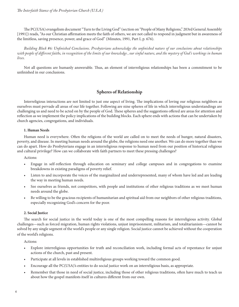The PC(USA) evangelism document "Turn to the Living God" (section on "People of Many Religions," 203rd General Assembly [1991]) reads, "As our Christian affirmation meets the faith of others, we are not called to respond in judgment but in awareness of the limitless, saving presence, power, and grace of God" (Minutes, 1991, Part I, p. 676).

Building Block #6: Unfinished Conclusions. Presbyterians acknowledge the unfinished nature of our conclusions about relationships with people of different faiths, in recognition of the limits of our knowledge, our sinful nature, and the mystery of God's workings in human *lives.*

Not all questions are humanly answerable. Thus, an element of interreligious relationships has been a commitment to be unfinished in our conclusions.

# **Spheres of Relationship**

Interreligious interactions are not limited to just one aspect of living. The implications of loving our religious neighbors as ourselves must pervade all areas of our life together. Following are nine spheres of life in which interreligious understandings are challenging us and need to be acted on by the people of God. These spheres and the suggestions offered are areas for attention and reflection as we implement the policy implications of the building blocks. Each sphere ends with actions that can be undertaken by church agencies, congregations, and individuals.

#### **1. Human Needs**

Human need is everywhere. Often the religions of the world are called on to meet the needs of hunger, natural disasters, poverty, and disease. In meeting human needs around the globe, the religions need one another. We can do more together than we can do apart. How do Presbyterians engage in an interreligious response to human need from our position of historical religious and cultural privilege? How can we collaborate with faith partners to meet these pressing challenges?

Actions:

- Engage in self-reflection through education on seminary and college campuses and in congregations to examine breakdowns in existing paradigms of poverty relief.
- Listen to and incorporate the voices of the marginalized and underrepresented, many of whom have led and are leading the way in meeting human needs.
- See ourselves as friends, not competitors, with people and institutions of other religious traditions as we meet human needs around the globe.
- Be willing to be the gracious recipients of humanitarian and spiritual aid from our neighbors of other religious traditions, especially recognizing God's concern for the poor.

## **2. Social Justice**

The search for social justice in the world today is one of the most compelling reasons for interreligious activity. Global challenges—such as forced migration, human rights violations, unjust imprisonment, militarism, and totalitarianism—cannot be solved by any single segment of the world's people or any single religion. Social justice cannot be achieved without the cooperation of the world's religions.

Actions:

- Explore interreligious opportunities for truth and reconciliation work, including formal acts of repentance for unjust actions of the church, past and present.
- Participate at all levels in established multireligious groups working toward the common good.
- t Encourage all the PC(USA)'s entities to do social justice work on an interreligious basis, as appropriate.
- Remember that those in need of social justice, including those of other religious traditions, often have much to teach us about how the gospel manifests itself in cultures different from our own.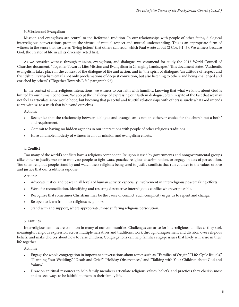#### **3. Mission and Evangelism**

Mission and evangelism are central to the Reformed tradition. In our relationships with people of other faiths, dialogical interreligious conversations promote the virtues of mutual respect and mutual understanding. This is an appropriate form of witness in the sense that we are as "living letters" that others can read, which Paul wrote about (2 Cor. 3:1–3). We witness because God, the creator of life in all its diversity, acted first.

As we consider witness through mission, evangelism, and dialogue, we commend for study the 2013 World Council of Churches document, "Together Towards Life: Mission and Evangelism in Changing Landscapes." This document states, "Authentic evangelism takes place in the context of the dialogue of life and action, and in 'the spirit of dialogue': 'an attitude of respect and friendship.' Evangelism entails not only proclamations of deepest conviction, but also listening to others and being challenged and enriched by others" ("Together Towards Life," paragraph 95).

In the context of interreligious interactions, we witness to our faith with humility, knowing that what we know about God is limited by our human condition. We accept the challenge of expressing our faith in dialogue, often in spite of the fact that we may not feel as articulate as we would hope, but knowing that peaceful and fruitful relationships with others is surely what God intends as we witness to a truth that is beyond ourselves.

Actions:

- Recognize that the relationship between dialogue and evangelism is not an either/or choice for the church but a both/ and requirement.
- Commit to having no hidden agendas in our interactions with people of other religious traditions.
- Have a humble modesty of witness in all our mission and evangelism efforts.

#### **4. Conflict**

Too many of the world's conflicts have a religious component. Religion is used by governments and nongovernmental groups alike either to justify war or to motivate people to fight wars, practice religious discrimination, or engage in acts of persecution. Too often religious people stand by and watch their religions being used to justify conflicts that run counter to the values of love and justice that our traditions espouse.

Actions:

- Advocate justice and peace in all levels of human activity, especially involvement in interreligious peacemaking efforts.
- Work for reconciliation, identifying and resisting destructive interreligious conflict wherever possible.
- Recognize that sometimes Christians may be the cause of conflict; such complicity urges us to repent and change.
- Be open to learn from our religious neighbors.
- Stand with and support, where appropriate, those suffering religious persecution.

#### **5. Families**

Interreligious families are common in many of our communities. Challenges can arise for interreligious families as they seek meaningful religious expression across multiple narratives and traditions, work through disagreement and division over religious beliefs, and make choices about how to raise children. Congregations can help families engage issues that likely will arise in their life together.

Actions:

- Engage the whole congregation in important conversations about topics such as: "Families of Origin," "Life-Cycle Rituals," "Planning Your Wedding," "Death and Grief," "Holiday Observances," and "Talking with Your Children about God and Values."
- Draw on spiritual resources to help family members articulate religious values, beliefs, and practices they cherish most and to seek ways to be faithful to them in their family life.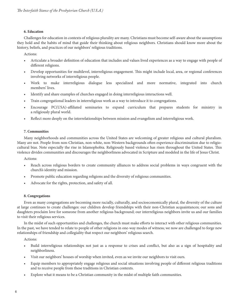#### **6. Education**

Challenges for education in contexts of religious plurality are many. Christians must become self-aware about the assumptions they hold and the habits of mind that guide their thinking about religious neighbors. Christians should know more about the history, beliefs, and practices of our neighbors' religious traditions.

Actions:

- Articulate a broader definition of education that includes and values lived experiences as a way to engage with people of different religions.
- Develop opportunities for multilevel, interreligious engagement. This might include local, area, or regional conferences involving networks of interreligious people.
- Work to make interreligious dialogue less specialized and more normative, integrated into church members' lives.
- Identify and share examples of churches engaged in doing interreligious interactions well.
- Train congregational leaders in interreligious work as a way to introduce it to congregations.
- Encourage PC(USA)-affiliated seminaries to expand curriculum that prepares students for ministry in a religiously plural world.
- Reflect more deeply on the interrelationships between mission and evangelism and interreligious work.

#### **7. Communities**

Many neighborhoods and communities across the United States are welcoming of greater religious and cultural pluralism. Many are not. People from non-Christian, non-white, non-Western backgrounds often experience discrimination due to religiocultural bias. Note especially the rise in Islamophobia. Religiously based violence has risen throughout the United States. This violence divides communities and discourages the neighborliness advocated in Scripture and modeled in the life of Jesus Christ.

Actions:

- Reach across religious borders to create community alliances to address social problems in ways congruent with the church's identity and mission.
- Promote public education regarding religions and the diversity of religious communities.
- Advocate for the rights, protection, and safety of all.

## **8. Congregations**

Even as many congregations are becoming more racially, culturally, and socioeconomically plural, the diversity of the culture at large continues to create challenges: our children develop friendships with their non-Christian acquaintances; our sons and daughters proclaim love for someone from another religious background; our interreligious neighbors invite us and our families to visit their religious services.

In the midst of such opportunities and challenges, the church must make efforts to interact with other religious communities. In the past, we have tended to relate to people of other religions in one-way modes of witness; we now are challenged to forge new relationships of friendship and collegiality that respect our neighbors' religious search.

Actions:

- Build interreligious relationships not just as a response to crises and conflict, but also as a sign of hospitality and neighborliness.
- Visit our neighbors' houses of worship when invited, even as we invite our neighbors to visit ours.
- Equip members to appropriately engage religious and social situations involving people of different religious traditions and to receive people from these traditions in Christian contexts.
- Explore what it means to be a Christian community in the midst of multiple faith communities.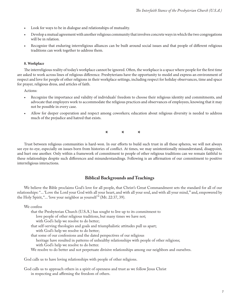- Look for ways to be in dialogue and relationships of mutuality.
- Develop a mutual agreement with another religious community that involves concrete ways in which the two congregations will be in relation.
- Recognize that enduring interreligious alliances can be built around social issues and that people of different religious traditions can work together to address them.

#### **8. Workplace**

The interreligious reality of today's workplace cannot be ignored. Often, the workplace is a space where people for the first time are asked to work across lines of religious difference. Presbyterians have the opportunity to model and express an environment of respect and love for people of other religions in their workplace settings, including respect for holiday observances, time and space for prayer, religious dress, and articles of faith.

Actions:

- t Recognize the importance and validity of individuals' freedom to choose their religious identity and commitments, and advocate that employers work to accommodate the religious practices and observances of employees, knowing that it may not be possible in every case.
- Allow for deeper cooperation and respect among coworkers; education about religious diversity is needed to address much of the prejudice and hatred that exists.

**\* \* \***

Trust between religious communities is hard-won. In our efforts to build such trust in all these spheres, we will not always see eye-to-eye, especially on issues born from histories of conflict. At times, we may unintentionally misunderstand, disappoint, and hurt one another. Only within a framework of commitment to people of other religious traditions can we remain faithful to these relationships despite such differences and misunderstandings. Following is an affirmation of our commitment to positive interreligious interactions.

## **Biblical Backgrounds and Teachings**

We believe the Bible proclaims God's love for all people, that Christ's Great Commandment sets the standard for all of our relationships: "... 'Love the Lord your God with all your heart, and with all your soul, and with all your mind,'" and, empowered by the Holy Spirit, "... 'love your neighbor as yourself '" (Mt. 22:37, 39).

We confess

- that the Presbyterian Church (U.S.A.) has sought to live up to its commitment to love people of other religious traditions, but many times we have not; with God's help we resolve to do better; that self-serving theologies and goals and triumphalistic attitudes pull us apart; with God's help we resolve to do better; that some of our confessions and the dated perspectives of our religious
	- heritage have resulted in patterns of unhealthy relationships with people of other religions; with God's help we resolve to do better.
- We resolve to do better and not perpetuate divisive relationships among our neighbors and ourselves.

God calls us to have loving relationships with people of other religions.

God calls us to approach others in a spirit of openness and trust as we follow Jesus Christ in respecting and affirming the freedom of others.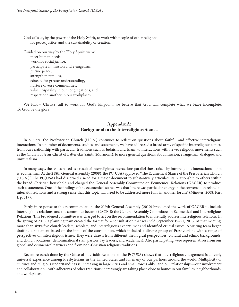God calls us, by the power of the Holy Spirit, to work with people of other religions for peace, justice, and the sustainability of creation.

Guided on our way by the Holy Spirit, we will meet human needs, work for social justice, participate in mission and evangelism, pursue peace, strengthen families, educate for greater understanding, nurture diverse communities, value hospitality in our congregations, and respect one another in our workplaces.

We follow Christ's call to work for God's kingdom; we believe that God will complete what we leave incomplete. To God be the glory!

# **Appendix A: Background to the Interreligious Stance**

In our era, the Presbyterian Church (U.S.A.) continues to reflect on questions about faithful and effective interreligious interactions. In a number of documents, studies, and statements, we have addressed a broad array of specific interreligious topics, from our relationship with particular traditions such as Judaism and Islam, to interactions with newer religious movements such as the Church of Jesus Christ of Latter-day Saints (Mormons), to more general questions about mission, evangelism, dialogue, and universalism.

In many ways, the issues raised as a result of interreligious interactions parallel those raised by intrareligious interactions—that is, ecumenism. At the 218th General Assembly (2008), the PC(USA) approved "The Ecumenical Stance of the Presbyterian Church (U.S.A.)." The PC(USA) had discerned a need for a major document to substantively articulate its relationship to others within the broad Christian household and charged the General Assembly Committee on Ecumenical Relations (GACER) to produce such a statement. One of the findings of the ecumenical stance was that "there was particular energy in the conversation related to interfaith relations and a strong sense that this topic will need to be addressed more fully in another forum" (Minutes, 2008, Part I, p. 517).

Partly in response to this recommendation, the 219th General Assembly (2010) broadened the work of GACER to include interreligious relations, and the committee became GACEIR: the General Assembly Committee on Ecumenical and Interreligious Relations. This broadened committee was charged to act on the recommendation to more fully address interreligious relations. In the spring of 2013, a planning team created the format for a consult ation that was held September 19–21, 2013. At that meeting, more than sixty-five church leaders, scholars, and interreligious experts met and identified crucial issues. A writing team began drafting a statement based on the input of the consultation, which included a diverse group of Presbyterians with a range of perspectives on interreligious issues. They were drawn from different theological perspectives, cultural and ethnic backgrounds, and church vocations (denominational staff, pastors, lay leaders, and academics). Also participating were representatives from our global and ecumenical partners and from non-Christian religious traditions.

Recent research done by the Office of Interfaith Relations of the PC(USA) shows that interreligious engagement is an early universal experience among Presbyterians in the United States and for many of our partners around the world. Multiplicity of cultures and religious understandings is increasing in large cities and small towns alike, and our relationships—our involvement and collaboration—with adherents of other traditions increasingly are taking place close to home: in our families, neighborhoods, and workplaces.